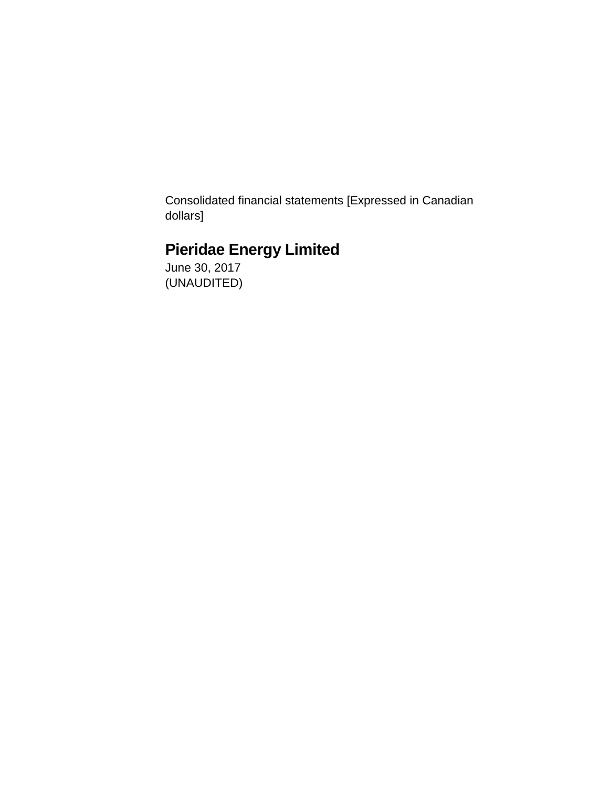Consolidated financial statements [Expressed in Canadian dollars]

# **Pieridae Energy Limited**

June 30, 2017 (UNAUDITED)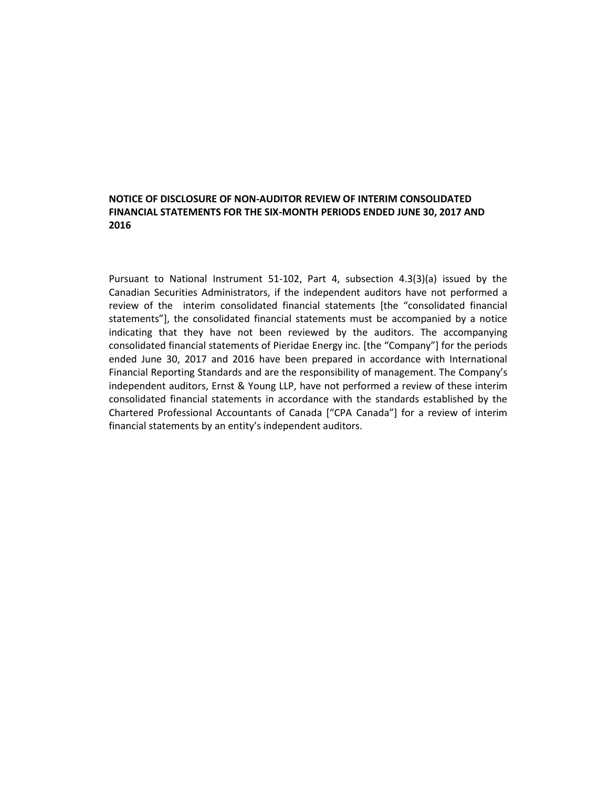### **NOTICE OF DISCLOSURE OF NON-AUDITOR REVIEW OF INTERIM CONSOLIDATED FINANCIAL STATEMENTS FOR THE SIX-MONTH PERIODS ENDED JUNE 30, 2017 AND 2016**

Pursuant to National Instrument 51-102, Part 4, subsection 4.3(3)(a) issued by the Canadian Securities Administrators, if the independent auditors have not performed a review of the interim consolidated financial statements [the "consolidated financial statements"], the consolidated financial statements must be accompanied by a notice indicating that they have not been reviewed by the auditors. The accompanying consolidated financial statements of Pieridae Energy inc. [the "Company"] for the periods ended June 30, 2017 and 2016 have been prepared in accordance with International Financial Reporting Standards and are the responsibility of management. The Company's independent auditors, Ernst & Young LLP, have not performed a review of these interim consolidated financial statements in accordance with the standards established by the Chartered Professional Accountants of Canada ["CPA Canada"] for a review of interim financial statements by an entity's independent auditors.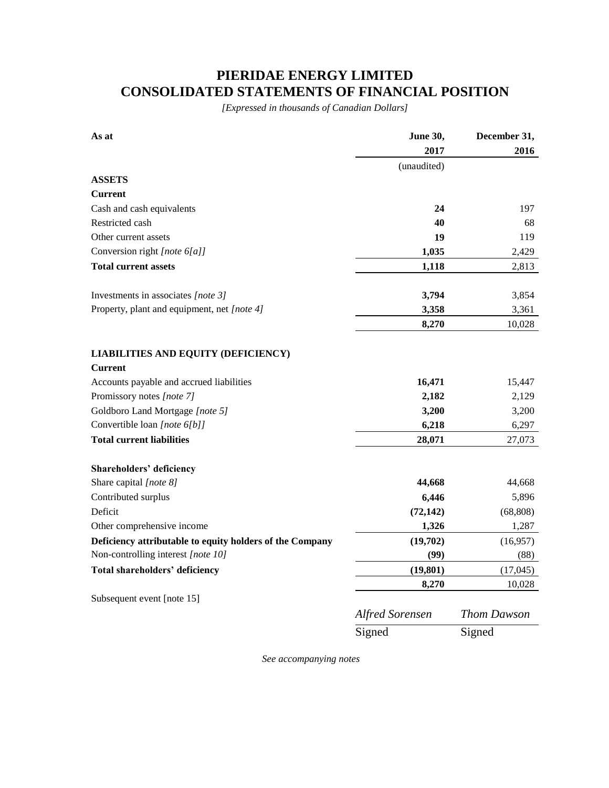# **PIERIDAE ENERGY LIMITED CONSOLIDATED STATEMENTS OF FINANCIAL POSITION**

*[Expressed in thousands of Canadian Dollars]*

| As at                                                    | June 30,               | December 31,       |  |
|----------------------------------------------------------|------------------------|--------------------|--|
|                                                          | 2017                   | 2016               |  |
|                                                          | (unaudited)            |                    |  |
| <b>ASSETS</b>                                            |                        |                    |  |
| Current                                                  |                        |                    |  |
| Cash and cash equivalents                                | 24                     | 197                |  |
| Restricted cash                                          | 40                     | 68                 |  |
| Other current assets                                     | 19                     | 119                |  |
| Conversion right [note 6[a]]                             | 1,035                  | 2,429              |  |
| <b>Total current assets</b>                              | 1,118                  | 2,813              |  |
| Investments in associates [note 3]                       | 3,794                  | 3,854              |  |
| Property, plant and equipment, net [note 4]              | 3,358                  | 3,361              |  |
|                                                          | 8,270                  | 10,028             |  |
| <b>LIABILITIES AND EQUITY (DEFICIENCY)</b>               |                        |                    |  |
| <b>Current</b>                                           |                        |                    |  |
| Accounts payable and accrued liabilities                 | 16,471                 | 15,447             |  |
| Promissory notes [note 7]                                | 2,182                  | 2,129              |  |
| Goldboro Land Mortgage [note 5]                          | 3,200                  | 3,200              |  |
| Convertible loan [note 6[b]]                             | 6,218                  | 6,297              |  |
| <b>Total current liabilities</b>                         | 28,071                 | 27,073             |  |
| Shareholders' deficiency                                 |                        |                    |  |
| Share capital [note 8]                                   | 44,668                 | 44,668             |  |
| Contributed surplus                                      | 6,446                  | 5,896              |  |
| Deficit                                                  | (72, 142)              | (68, 808)          |  |
| Other comprehensive income                               | 1,326                  | 1,287              |  |
| Deficiency attributable to equity holders of the Company | (19,702)               | (16,957)           |  |
| Non-controlling interest [note 10]                       | (99)                   | (88)               |  |
| <b>Total shareholders' deficiency</b>                    | (19, 801)              | (17,045)           |  |
|                                                          | 8,270                  | 10,028             |  |
| Subsequent event [note 15]                               |                        |                    |  |
|                                                          | <b>Alfred Sorensen</b> | <b>Thom Dawson</b> |  |
|                                                          | Signed                 | Signed             |  |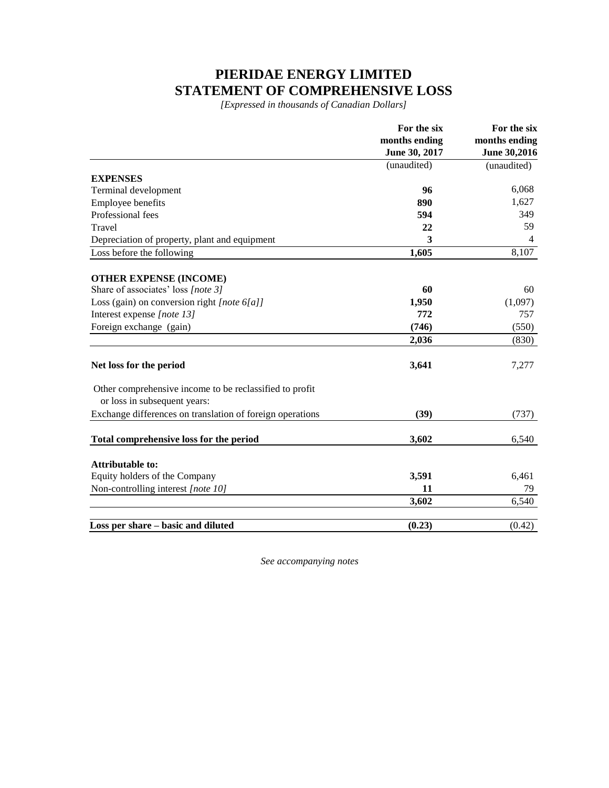# **PIERIDAE ENERGY LIMITED STATEMENT OF COMPREHENSIVE LOSS**

*[Expressed in thousands of Canadian Dollars]*

|                                                                                         | For the six   | For the six    |  |
|-----------------------------------------------------------------------------------------|---------------|----------------|--|
|                                                                                         | months ending | months ending  |  |
|                                                                                         | June 30, 2017 | June 30,2016   |  |
|                                                                                         | (unaudited)   | (unaudited)    |  |
| <b>EXPENSES</b>                                                                         |               |                |  |
| Terminal development                                                                    | 96            | 6,068          |  |
| Employee benefits                                                                       | 890           | 1,627          |  |
| Professional fees                                                                       | 594           | 349            |  |
| Travel                                                                                  | 22            | 59             |  |
| Depreciation of property, plant and equipment                                           | 3             | $\overline{4}$ |  |
| Loss before the following                                                               | 1,605         | 8,107          |  |
| <b>OTHER EXPENSE (INCOME)</b>                                                           |               |                |  |
| Share of associates' loss [note 3]                                                      | 60            | 60             |  |
| Loss (gain) on conversion right [note 6[a]]                                             | 1,950         | (1,097)        |  |
| Interest expense [note 13]                                                              | 772           | 757            |  |
| Foreign exchange (gain)                                                                 | (746)         | (550)          |  |
|                                                                                         | 2,036         | (830)          |  |
| Net loss for the period                                                                 | 3,641         | 7,277          |  |
| Other comprehensive income to be reclassified to profit<br>or loss in subsequent years: |               |                |  |
| Exchange differences on translation of foreign operations                               | (39)          | (737)          |  |
| Total comprehensive loss for the period                                                 | 3,602         | 6,540          |  |
| <b>Attributable to:</b>                                                                 |               |                |  |
| Equity holders of the Company                                                           | 3,591         | 6,461          |  |
| Non-controlling interest [note 10]                                                      | 11            | 79             |  |
|                                                                                         | 3,602         | 6,540          |  |
| Loss per share – basic and diluted                                                      | (0.23)        | (0.42)         |  |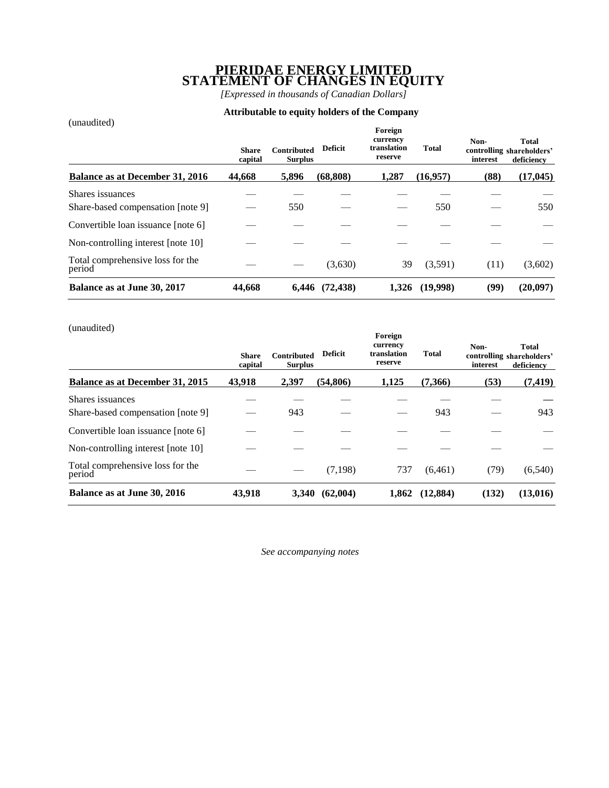### **PIERIDAE ENERGY LIMITED STATEMENT OF CHANGES IN EQUITY**

*[Expressed in thousands of Canadian Dollars]*

### **Attributable to equity holders of the Company**

| (unaudited)                                | <b>Share</b><br>capital | <b>Contributed</b><br><b>Surplus</b> | <b>Deficit</b> | Foreign<br>currency<br>translation<br>reserve | <b>Total</b> | Non-<br>interest | <b>Total</b><br>controlling shareholders'<br>deficiency |
|--------------------------------------------|-------------------------|--------------------------------------|----------------|-----------------------------------------------|--------------|------------------|---------------------------------------------------------|
| Balance as at December 31, 2016            | 44,668                  | 5,896                                | (68, 808)      | 1.287                                         | (16,957)     | (88)             | (17, 045)                                               |
| Shares issuances                           |                         |                                      |                |                                               |              |                  |                                                         |
| Share-based compensation [note 9]          |                         | 550                                  |                |                                               | 550          |                  | 550                                                     |
| Convertible loan issuance [note 6]         |                         |                                      |                |                                               |              |                  |                                                         |
| Non-controlling interest [note 10]         |                         |                                      |                |                                               |              |                  |                                                         |
| Total comprehensive loss for the<br>period |                         |                                      | (3,630)        | 39                                            | (3,591)      | (11)             | (3,602)                                                 |
| Balance as at June 30, 2017                | 44,668                  | 6.446                                | (72, 438)      | 1.326                                         | (19,998)     | (99)             | (20,097)                                                |

(unaudited)

| $($ unauun $\epsilon$ u                    | <b>Share</b><br>capital | <b>Contributed</b><br><b>Surplus</b> | <b>Deficit</b> | Foreign<br>currency<br>translation<br>reserve | <b>Total</b> | Non-<br>interest | Total<br>controlling shareholders'<br>deficiency |
|--------------------------------------------|-------------------------|--------------------------------------|----------------|-----------------------------------------------|--------------|------------------|--------------------------------------------------|
| Balance as at December 31, 2015            | 43,918                  | 2,397                                | (54, 806)      | 1,125                                         | (7,366)      | (53)             | (7, 419)                                         |
| Shares issuances                           |                         |                                      |                |                                               |              |                  |                                                  |
| Share-based compensation [note 9]          |                         | 943                                  |                |                                               | 943          |                  | 943                                              |
| Convertible loan issuance [note 6]         |                         |                                      |                |                                               |              |                  |                                                  |
| Non-controlling interest [note 10]         |                         |                                      |                |                                               |              |                  |                                                  |
| Total comprehensive loss for the<br>period |                         |                                      | (7,198)        | 737                                           | (6,461)      | (79)             | (6, 540)                                         |
| Balance as at June 30, 2016                | 43,918                  | 3,340                                | (62,004)       | 1,862                                         | (12, 884)    | (132)            | (13,016)                                         |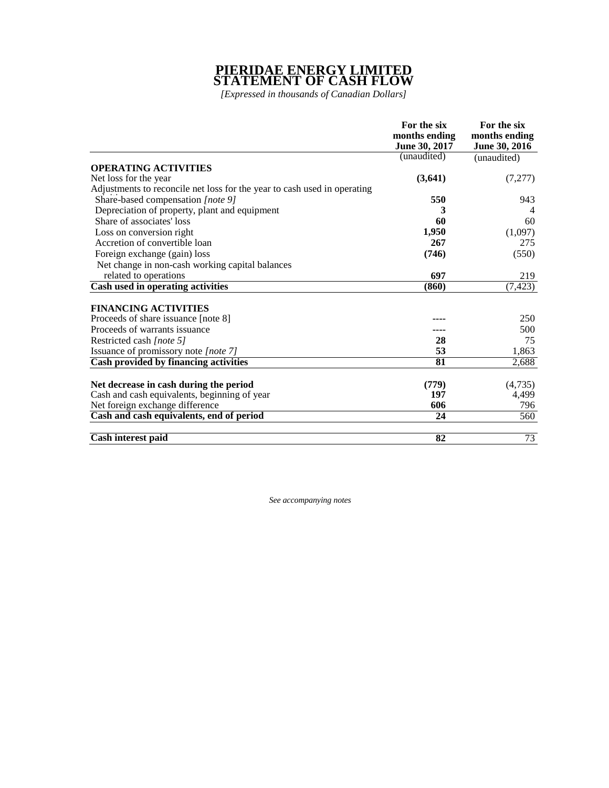### **PIERIDAE ENERGY LIMITED STATEMENT OF CASH FLOW**

*[Expressed in thousands of Canadian Dollars]*

|                                                                          | For the six   | For the six   |
|--------------------------------------------------------------------------|---------------|---------------|
|                                                                          | months ending | months ending |
|                                                                          | June 30, 2017 | June 30, 2016 |
|                                                                          | (unaudited)   | (unaudited)   |
| <b>OPERATING ACTIVITIES</b>                                              |               |               |
| Net loss for the year                                                    | (3,641)       | (7,277)       |
| Adjustments to reconcile net loss for the year to cash used in operating |               |               |
| Share-based compensation [note 9]                                        | 550           | 943           |
| Depreciation of property, plant and equipment                            | 3             | 4             |
| Share of associates' loss                                                | 60            | 60            |
| Loss on conversion right                                                 | 1,950         | (1,097)       |
| Accretion of convertible loan                                            | 267           | 275           |
| Foreign exchange (gain) loss                                             | (746)         | (550)         |
| Net change in non-cash working capital balances                          |               |               |
| related to operations                                                    | 697           | 219           |
| Cash used in operating activities                                        | (860)         | (7, 423)      |
|                                                                          |               |               |
| <b>FINANCING ACTIVITIES</b>                                              |               |               |
| Proceeds of share issuance [note 8]                                      |               | 250           |
| Proceeds of warrants issuance                                            |               | 500           |
| Restricted cash [note 5]                                                 | 28            | 75            |
| Issuance of promissory note [note 7]                                     | 53            | 1,863         |
| Cash provided by financing activities                                    | 81            | 2,688         |
|                                                                          |               |               |
| Net decrease in cash during the period                                   | (779)         | (4,735)       |
| Cash and cash equivalents, beginning of year                             | 197           | 4,499         |
| Net foreign exchange difference                                          | 606           | 796           |
| Cash and cash equivalents, end of period                                 | 24            | 560           |
| Cash interest paid                                                       | 82            | 73            |
|                                                                          |               |               |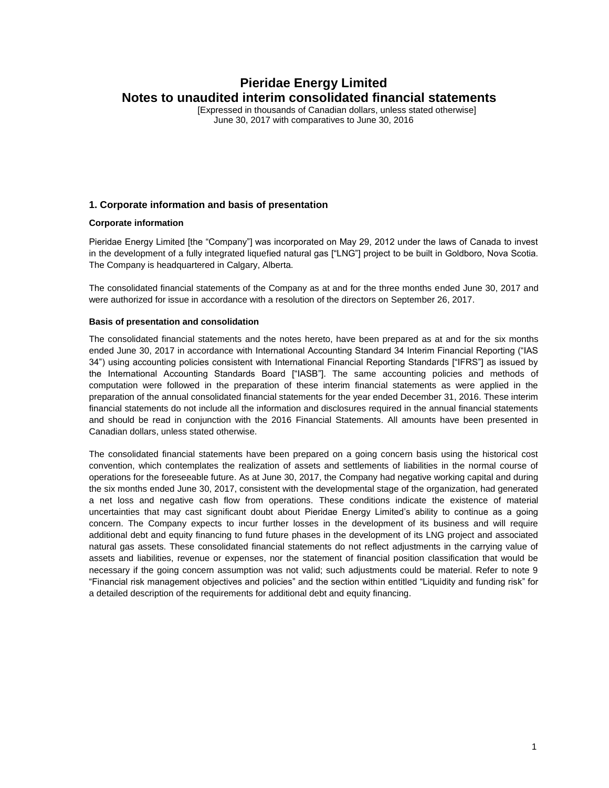[Expressed in thousands of Canadian dollars, unless stated otherwise] June 30, 2017 with comparatives to June 30, 2016

### **1. Corporate information and basis of presentation**

#### **Corporate information**

Pieridae Energy Limited [the "Company"] was incorporated on May 29, 2012 under the laws of Canada to invest in the development of a fully integrated liquefied natural gas ["LNG"] project to be built in Goldboro, Nova Scotia. The Company is headquartered in Calgary, Alberta.

The consolidated financial statements of the Company as at and for the three months ended June 30, 2017 and were authorized for issue in accordance with a resolution of the directors on September 26, 2017.

#### **Basis of presentation and consolidation**

The consolidated financial statements and the notes hereto, have been prepared as at and for the six months ended June 30, 2017 in accordance with International Accounting Standard 34 Interim Financial Reporting ("IAS 34") using accounting policies consistent with International Financial Reporting Standards ["IFRS"] as issued by the International Accounting Standards Board ["IASB"]. The same accounting policies and methods of computation were followed in the preparation of these interim financial statements as were applied in the preparation of the annual consolidated financial statements for the year ended December 31, 2016. These interim financial statements do not include all the information and disclosures required in the annual financial statements and should be read in conjunction with the 2016 Financial Statements. All amounts have been presented in Canadian dollars, unless stated otherwise.

The consolidated financial statements have been prepared on a going concern basis using the historical cost convention, which contemplates the realization of assets and settlements of liabilities in the normal course of operations for the foreseeable future. As at June 30, 2017, the Company had negative working capital and during the six months ended June 30, 2017, consistent with the developmental stage of the organization, had generated a net loss and negative cash flow from operations. These conditions indicate the existence of material uncertainties that may cast significant doubt about Pieridae Energy Limited's ability to continue as a going concern. The Company expects to incur further losses in the development of its business and will require additional debt and equity financing to fund future phases in the development of its LNG project and associated natural gas assets. These consolidated financial statements do not reflect adjustments in the carrying value of assets and liabilities, revenue or expenses, nor the statement of financial position classification that would be necessary if the going concern assumption was not valid; such adjustments could be material. Refer to note 9 "Financial risk management objectives and policies" and the section within entitled "Liquidity and funding risk" for a detailed description of the requirements for additional debt and equity financing.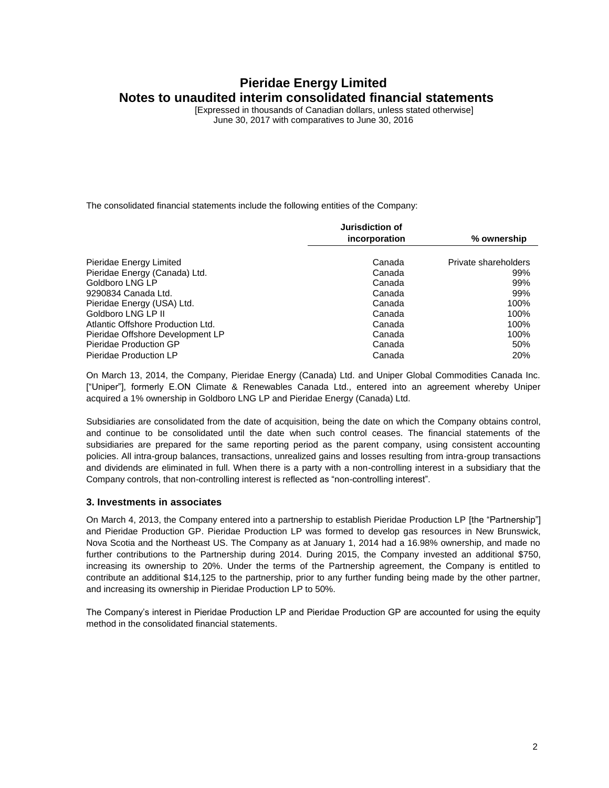[Expressed in thousands of Canadian dollars, unless stated otherwise] June 30, 2017 with comparatives to June 30, 2016

The consolidated financial statements include the following entities of the Company:

|                                   | Jurisdiction of |                      |
|-----------------------------------|-----------------|----------------------|
|                                   | incorporation   | % ownership          |
|                                   |                 |                      |
| Pieridae Energy Limited           | Canada          | Private shareholders |
| Pieridae Energy (Canada) Ltd.     | Canada          | 99%                  |
| Goldboro LNG LP                   | Canada          | 99%                  |
| 9290834 Canada Ltd.               | Canada          | 99%                  |
| Pieridae Energy (USA) Ltd.        | Canada          | 100%                 |
| Goldboro LNG LP II                | Canada          | 100%                 |
| Atlantic Offshore Production Ltd. | Canada          | 100%                 |
| Pieridae Offshore Development LP  | Canada          | 100%                 |
| Pieridae Production GP            | Canada          | 50%                  |
| Pieridae Production LP            | Canada          | 20%                  |

On March 13, 2014, the Company, Pieridae Energy (Canada) Ltd. and Uniper Global Commodities Canada Inc. ["Uniper"], formerly E.ON Climate & Renewables Canada Ltd., entered into an agreement whereby Uniper acquired a 1% ownership in Goldboro LNG LP and Pieridae Energy (Canada) Ltd.

Subsidiaries are consolidated from the date of acquisition, being the date on which the Company obtains control, and continue to be consolidated until the date when such control ceases. The financial statements of the subsidiaries are prepared for the same reporting period as the parent company, using consistent accounting policies. All intra-group balances, transactions, unrealized gains and losses resulting from intra-group transactions and dividends are eliminated in full. When there is a party with a non-controlling interest in a subsidiary that the Company controls, that non-controlling interest is reflected as "non-controlling interest".

#### **3. Investments in associates**

On March 4, 2013, the Company entered into a partnership to establish Pieridae Production LP [the "Partnership"] and Pieridae Production GP. Pieridae Production LP was formed to develop gas resources in New Brunswick, Nova Scotia and the Northeast US. The Company as at January 1, 2014 had a 16.98% ownership, and made no further contributions to the Partnership during 2014. During 2015, the Company invested an additional \$750, increasing its ownership to 20%. Under the terms of the Partnership agreement, the Company is entitled to contribute an additional \$14,125 to the partnership, prior to any further funding being made by the other partner, and increasing its ownership in Pieridae Production LP to 50%.

The Company's interest in Pieridae Production LP and Pieridae Production GP are accounted for using the equity method in the consolidated financial statements.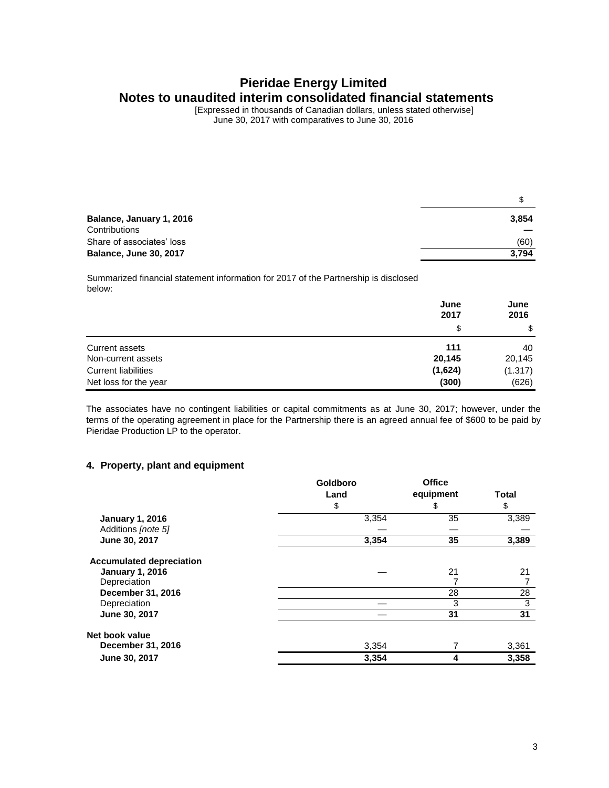[Expressed in thousands of Canadian dollars, unless stated otherwise] June 30, 2017 with comparatives to June 30, 2016

| Balance, January 1, 2016      | 3,854 |
|-------------------------------|-------|
| Contributions                 |       |
| Share of associates' loss     | (60)  |
| <b>Balance, June 30, 2017</b> | 3.794 |

Summarized financial statement information for 2017 of the Partnership is disclosed below:

|                            | June<br>2017 | June<br>2016 |
|----------------------------|--------------|--------------|
|                            | \$           | \$           |
| <b>Current assets</b>      | 111          | 40           |
| Non-current assets         | 20,145       | 20,145       |
| <b>Current liabilities</b> | (1,624)      | (1.317)      |
| Net loss for the year      | (300)        | (626)        |

The associates have no contingent liabilities or capital commitments as at June 30, 2017; however, under the terms of the operating agreement in place for the Partnership there is an agreed annual fee of \$600 to be paid by Pieridae Production LP to the operator.

### **4. Property, plant and equipment**

|                                   | Goldboro | <b>Office</b> |              |
|-----------------------------------|----------|---------------|--------------|
|                                   | Land     | equipment     | <b>Total</b> |
|                                   | \$       | \$            | \$           |
| <b>January 1, 2016</b>            | 3,354    | 35            | 3,389        |
| Additions [note 5]                |          |               |              |
| June 30, 2017                     | 3,354    | 35            | 3,389        |
| <b>Accumulated depreciation</b>   |          | 21            | 21           |
| <b>January 1, 2016</b>            |          |               |              |
| Depreciation<br>December 31, 2016 |          | 28            | 28           |
|                                   |          |               |              |
| Depreciation                      |          | 3             | 3            |
| June 30, 2017                     |          | 31            | 31           |
| Net book value                    |          |               |              |
| December 31, 2016                 | 3,354    |               | 3,361        |
| June 30, 2017                     | 3,354    | 4             | 3,358        |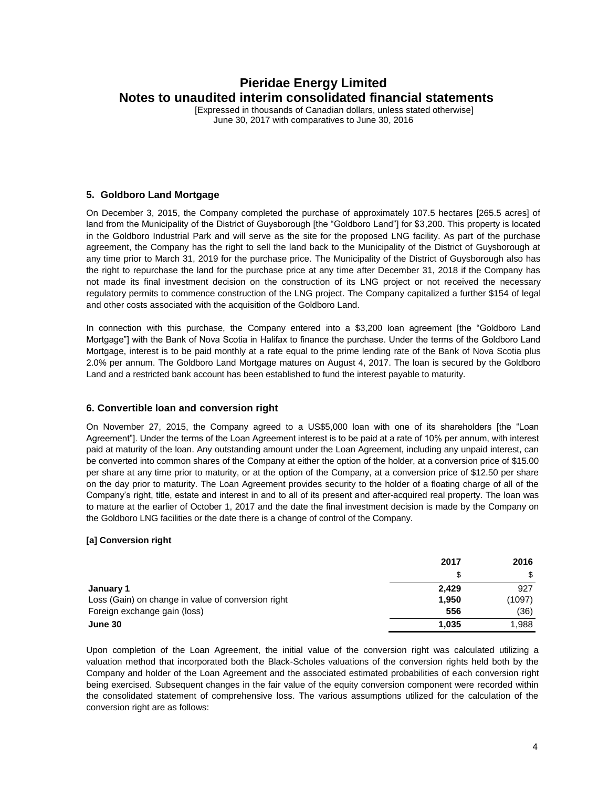[Expressed in thousands of Canadian dollars, unless stated otherwise] June 30, 2017 with comparatives to June 30, 2016

### **5. Goldboro Land Mortgage**

On December 3, 2015, the Company completed the purchase of approximately 107.5 hectares [265.5 acres] of land from the Municipality of the District of Guysborough [the "Goldboro Land"] for \$3,200. This property is located in the Goldboro Industrial Park and will serve as the site for the proposed LNG facility. As part of the purchase agreement, the Company has the right to sell the land back to the Municipality of the District of Guysborough at any time prior to March 31, 2019 for the purchase price. The Municipality of the District of Guysborough also has the right to repurchase the land for the purchase price at any time after December 31, 2018 if the Company has not made its final investment decision on the construction of its LNG project or not received the necessary regulatory permits to commence construction of the LNG project. The Company capitalized a further \$154 of legal and other costs associated with the acquisition of the Goldboro Land.

In connection with this purchase, the Company entered into a \$3,200 loan agreement [the "Goldboro Land Mortgage"] with the Bank of Nova Scotia in Halifax to finance the purchase. Under the terms of the Goldboro Land Mortgage, interest is to be paid monthly at a rate equal to the prime lending rate of the Bank of Nova Scotia plus 2.0% per annum. The Goldboro Land Mortgage matures on August 4, 2017. The loan is secured by the Goldboro Land and a restricted bank account has been established to fund the interest payable to maturity.

### **6. Convertible loan and conversion right**

On November 27, 2015, the Company agreed to a US\$5,000 loan with one of its shareholders [the "Loan Agreement"]. Under the terms of the Loan Agreement interest is to be paid at a rate of 10% per annum, with interest paid at maturity of the loan. Any outstanding amount under the Loan Agreement, including any unpaid interest, can be converted into common shares of the Company at either the option of the holder, at a conversion price of \$15.00 per share at any time prior to maturity, or at the option of the Company, at a conversion price of \$12.50 per share on the day prior to maturity. The Loan Agreement provides security to the holder of a floating charge of all of the Company's right, title, estate and interest in and to all of its present and after-acquired real property. The loan was to mature at the earlier of October 1, 2017 and the date the final investment decision is made by the Company on the Goldboro LNG facilities or the date there is a change of control of the Company.

### **[a] Conversion right**

|                                                    | 2017  | 2016   |
|----------------------------------------------------|-------|--------|
|                                                    | S     |        |
| January 1                                          | 2.429 | 927    |
| Loss (Gain) on change in value of conversion right | 1,950 | (1097) |
| Foreign exchange gain (loss)                       | 556   | (36)   |
| June 30                                            | 1,035 | 1,988  |

Upon completion of the Loan Agreement, the initial value of the conversion right was calculated utilizing a valuation method that incorporated both the Black-Scholes valuations of the conversion rights held both by the Company and holder of the Loan Agreement and the associated estimated probabilities of each conversion right being exercised. Subsequent changes in the fair value of the equity conversion component were recorded within the consolidated statement of comprehensive loss. The various assumptions utilized for the calculation of the conversion right are as follows: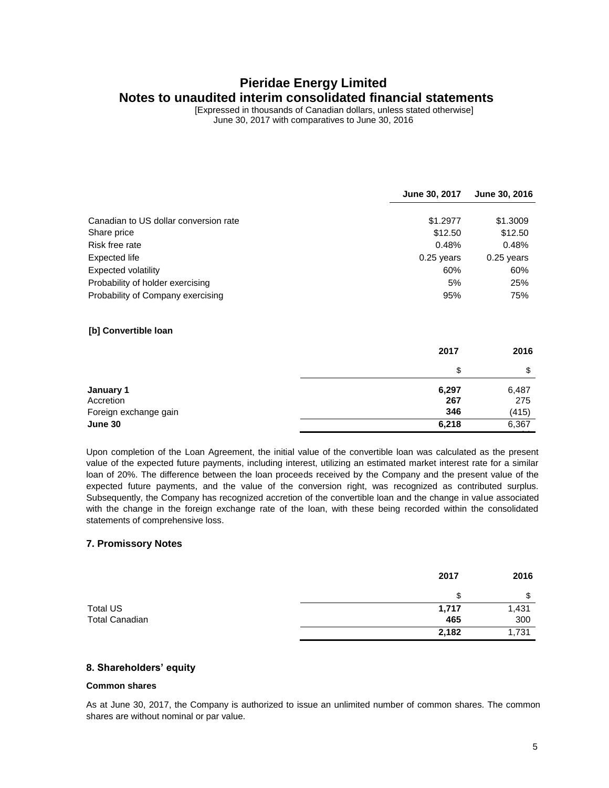[Expressed in thousands of Canadian dollars, unless stated otherwise] June 30, 2017 with comparatives to June 30, 2016

|                                       | June 30, 2017 | June 30, 2016 |
|---------------------------------------|---------------|---------------|
|                                       |               |               |
| Canadian to US dollar conversion rate | \$1.2977      | \$1.3009      |
| Share price                           | \$12.50       | \$12.50       |
| Risk free rate                        | 0.48%         | 0.48%         |
| Expected life                         | $0.25$ years  | $0.25$ years  |
| <b>Expected volatility</b>            | 60%           | 60%           |
| Probability of holder exercising      | 5%            | 25%           |
| Probability of Company exercising     | 95%           | 75%           |
| [b] Convertible loan                  |               |               |
|                                       | 2017          | 2016          |
|                                       | \$            | \$            |
| January 1                             | 6,297         | 6,487         |
| Accretion                             | 267           | 275           |
| Foreign exchange gain                 | 346           | (415)         |
| June 30                               | 6,218         | 6,367         |

Upon completion of the Loan Agreement, the initial value of the convertible loan was calculated as the present value of the expected future payments, including interest, utilizing an estimated market interest rate for a similar loan of 20%. The difference between the loan proceeds received by the Company and the present value of the expected future payments, and the value of the conversion right, was recognized as contributed surplus. Subsequently, the Company has recognized accretion of the convertible loan and the change in value associated with the change in the foreign exchange rate of the loan, with these being recorded within the consolidated statements of comprehensive loss.

#### **7. Promissory Notes**

|                       | 2017  | 2016  |
|-----------------------|-------|-------|
|                       | S     | \$    |
| Total US              | 1,717 | 1,431 |
| <b>Total Canadian</b> | 465   | 300   |
|                       | 2,182 | 1,731 |
|                       |       |       |

### **8. Shareholders' equity**

#### **Common shares**

As at June 30, 2017, the Company is authorized to issue an unlimited number of common shares. The common shares are without nominal or par value.

14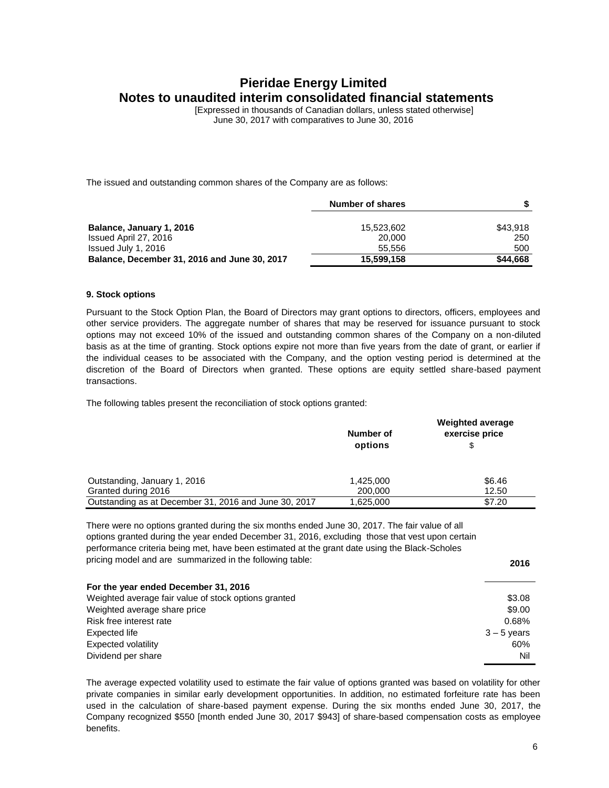[Expressed in thousands of Canadian dollars, unless stated otherwise] June 30, 2017 with comparatives to June 30, 2016

The issued and outstanding common shares of the Company are as follows:

|                                              | Number of shares | s.       |
|----------------------------------------------|------------------|----------|
| Balance, January 1, 2016                     | 15,523,602       | \$43,918 |
| Issued April 27, 2016                        | 20.000           | 250      |
| Issued July 1, 2016                          | 55.556           | 500      |
| Balance, December 31, 2016 and June 30, 2017 | 15,599,158       | \$44.668 |

#### **9. Stock options**

Pursuant to the Stock Option Plan, the Board of Directors may grant options to directors, officers, employees and other service providers. The aggregate number of shares that may be reserved for issuance pursuant to stock options may not exceed 10% of the issued and outstanding common shares of the Company on a non-diluted basis as at the time of granting. Stock options expire not more than five years from the date of grant, or earlier if the individual ceases to be associated with the Company, and the option vesting period is determined at the discretion of the Board of Directors when granted. These options are equity settled share-based payment transactions.

The following tables present the reconciliation of stock options granted:

|                                                       | Number of<br>options | <b>Weighted average</b><br>exercise price<br>\$ |
|-------------------------------------------------------|----------------------|-------------------------------------------------|
| Outstanding, January 1, 2016                          | 1,425,000            | \$6.46                                          |
| Granted during 2016                                   | 200,000              | 12.50                                           |
| Outstanding as at December 31, 2016 and June 30, 2017 | 1,625,000            | \$7.20                                          |

There were no options granted during the six months ended June 30, 2017. The fair value of all options granted during the year ended December 31, 2016, excluding those that vest upon certain performance criteria being met, have been estimated at the grant date using the Black-Scholes pricing model and are summarized in the following table: **2016**

|                                                      | 20 I D        |
|------------------------------------------------------|---------------|
| For the year ended December 31, 2016                 |               |
| Weighted average fair value of stock options granted | \$3.08        |
| Weighted average share price                         | \$9.00        |
| Risk free interest rate                              | 0.68%         |
| Expected life                                        | $3 - 5$ years |
| Expected volatility                                  | 60%           |
| Dividend per share                                   | Nil           |

The average expected volatility used to estimate the fair value of options granted was based on volatility for other private companies in similar early development opportunities. In addition, no estimated forfeiture rate has been used in the calculation of share-based payment expense. During the six months ended June 30, 2017, the Company recognized \$550 [month ended June 30, 2017 \$943] of share-based compensation costs as employee benefits.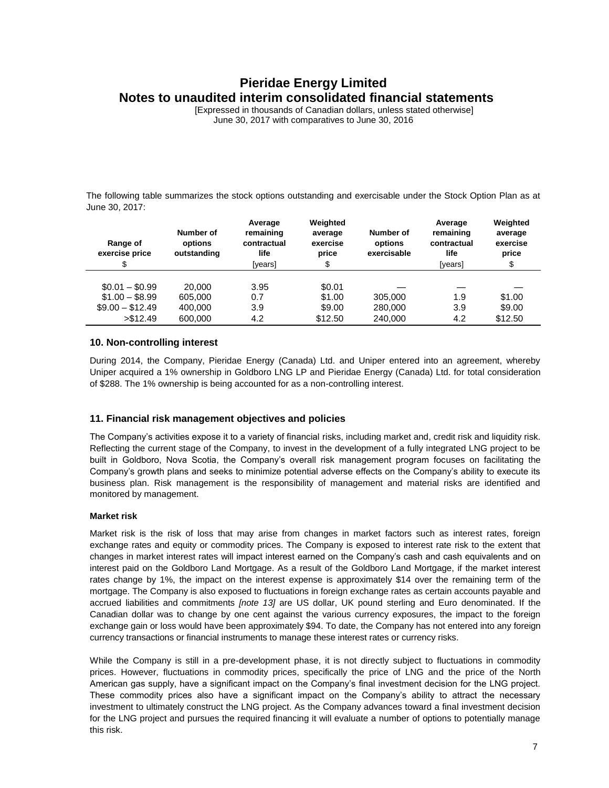[Expressed in thousands of Canadian dollars, unless stated otherwise] June 30, 2017 with comparatives to June 30, 2016

The following table summarizes the stock options outstanding and exercisable under the Stock Option Plan as at June 30, 2017:

| Range of<br>exercise price<br>\$                                    | Number of<br>options<br>outstanding     | Average<br>remaining<br>contractual<br>life<br>[years] | Weighted<br>average<br>exercise<br>price<br>\$ | Number of<br>options<br>exercisable | Average<br>remaining<br>contractual<br>life<br>[years] | Weighted<br>average<br>exercise<br>price<br>\$ |
|---------------------------------------------------------------------|-----------------------------------------|--------------------------------------------------------|------------------------------------------------|-------------------------------------|--------------------------------------------------------|------------------------------------------------|
| $$0.01 - $0.99$<br>$$1.00 - $8.99$<br>$$9.00 - $12.49$<br>> \$12.49 | 20,000<br>605.000<br>400,000<br>600,000 | 3.95<br>0.7<br>3.9<br>4.2                              | \$0.01<br>\$1.00<br>\$9.00<br>\$12.50          | 305,000<br>280,000<br>240.000       | 1.9<br>3.9<br>4.2                                      | \$1.00<br>\$9.00<br>\$12.50                    |

### **10. Non-controlling interest**

During 2014, the Company, Pieridae Energy (Canada) Ltd. and Uniper entered into an agreement, whereby Uniper acquired a 1% ownership in Goldboro LNG LP and Pieridae Energy (Canada) Ltd. for total consideration of \$288. The 1% ownership is being accounted for as a non-controlling interest.

### **11. Financial risk management objectives and policies**

The Company's activities expose it to a variety of financial risks, including market and, credit risk and liquidity risk. Reflecting the current stage of the Company, to invest in the development of a fully integrated LNG project to be built in Goldboro, Nova Scotia, the Company's overall risk management program focuses on facilitating the Company's growth plans and seeks to minimize potential adverse effects on the Company's ability to execute its business plan. Risk management is the responsibility of management and material risks are identified and monitored by management.

### **Market risk**

Market risk is the risk of loss that may arise from changes in market factors such as interest rates, foreign exchange rates and equity or commodity prices. The Company is exposed to interest rate risk to the extent that changes in market interest rates will impact interest earned on the Company's cash and cash equivalents and on interest paid on the Goldboro Land Mortgage. As a result of the Goldboro Land Mortgage, if the market interest rates change by 1%, the impact on the interest expense is approximately \$14 over the remaining term of the mortgage. The Company is also exposed to fluctuations in foreign exchange rates as certain accounts payable and accrued liabilities and commitments *[note 13]* are US dollar, UK pound sterling and Euro denominated. If the Canadian dollar was to change by one cent against the various currency exposures, the impact to the foreign exchange gain or loss would have been approximately \$94. To date, the Company has not entered into any foreign currency transactions or financial instruments to manage these interest rates or currency risks.

While the Company is still in a pre-development phase, it is not directly subject to fluctuations in commodity prices. However, fluctuations in commodity prices, specifically the price of LNG and the price of the North American gas supply, have a significant impact on the Company's final investment decision for the LNG project. These commodity prices also have a significant impact on the Company's ability to attract the necessary investment to ultimately construct the LNG project. As the Company advances toward a final investment decision for the LNG project and pursues the required financing it will evaluate a number of options to potentially manage this risk.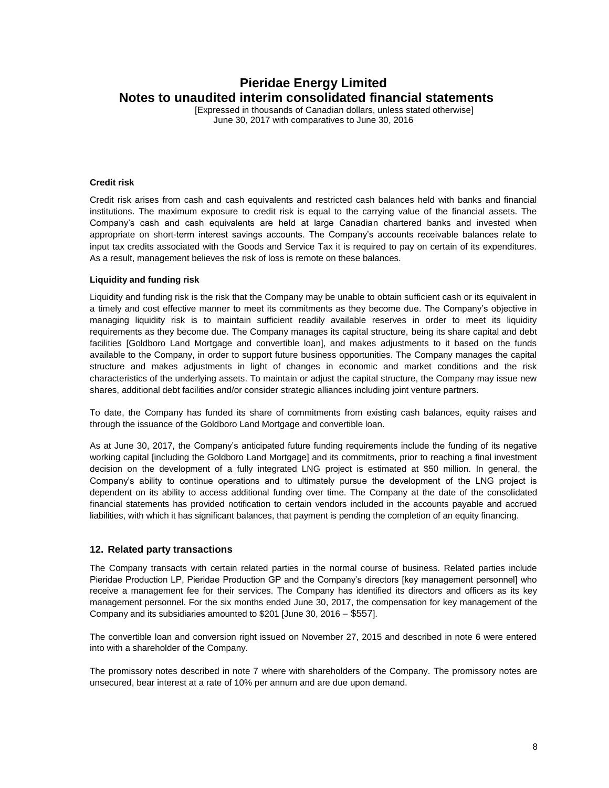[Expressed in thousands of Canadian dollars, unless stated otherwise] June 30, 2017 with comparatives to June 30, 2016

#### **Credit risk**

Credit risk arises from cash and cash equivalents and restricted cash balances held with banks and financial institutions. The maximum exposure to credit risk is equal to the carrying value of the financial assets. The Company's cash and cash equivalents are held at large Canadian chartered banks and invested when appropriate on short-term interest savings accounts. The Company's accounts receivable balances relate to input tax credits associated with the Goods and Service Tax it is required to pay on certain of its expenditures. As a result, management believes the risk of loss is remote on these balances.

#### **Liquidity and funding risk**

Liquidity and funding risk is the risk that the Company may be unable to obtain sufficient cash or its equivalent in a timely and cost effective manner to meet its commitments as they become due. The Company's objective in managing liquidity risk is to maintain sufficient readily available reserves in order to meet its liquidity requirements as they become due. The Company manages its capital structure, being its share capital and debt facilities [Goldboro Land Mortgage and convertible loan], and makes adjustments to it based on the funds available to the Company, in order to support future business opportunities. The Company manages the capital structure and makes adjustments in light of changes in economic and market conditions and the risk characteristics of the underlying assets. To maintain or adjust the capital structure, the Company may issue new shares, additional debt facilities and/or consider strategic alliances including joint venture partners.

To date, the Company has funded its share of commitments from existing cash balances, equity raises and through the issuance of the Goldboro Land Mortgage and convertible loan.

As at June 30, 2017, the Company's anticipated future funding requirements include the funding of its negative working capital [including the Goldboro Land Mortgage] and its commitments, prior to reaching a final investment decision on the development of a fully integrated LNG project is estimated at \$50 million. In general, the Company's ability to continue operations and to ultimately pursue the development of the LNG project is dependent on its ability to access additional funding over time. The Company at the date of the consolidated financial statements has provided notification to certain vendors included in the accounts payable and accrued liabilities, with which it has significant balances, that payment is pending the completion of an equity financing.

#### **12. Related party transactions**

The Company transacts with certain related parties in the normal course of business. Related parties include Pieridae Production LP, Pieridae Production GP and the Company's directors [key management personnel] who receive a management fee for their services. The Company has identified its directors and officers as its key management personnel. For the six months ended June 30, 2017, the compensation for key management of the Company and its subsidiaries amounted to  $$201$  [June 30, 2016 -  $$557$ ].

The convertible loan and conversion right issued on November 27, 2015 and described in note 6 were entered into with a shareholder of the Company.

The promissory notes described in note 7 where with shareholders of the Company. The promissory notes are unsecured, bear interest at a rate of 10% per annum and are due upon demand.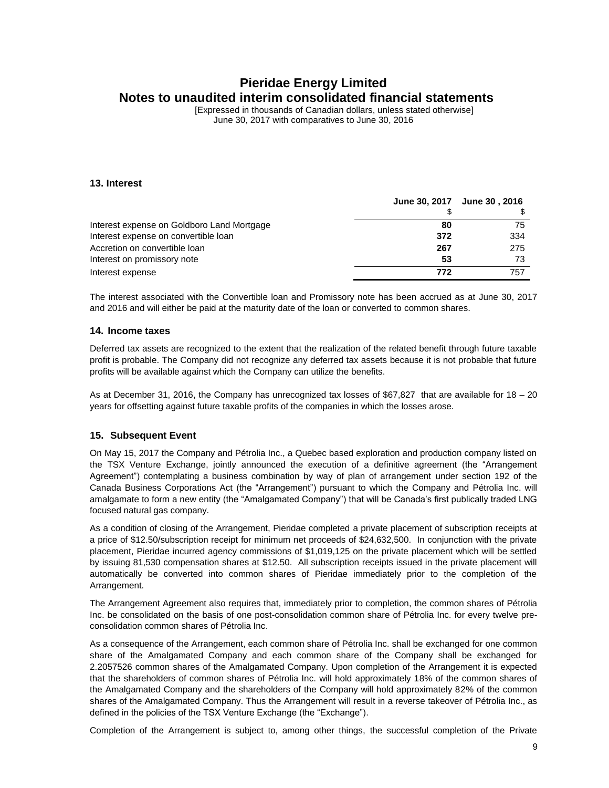[Expressed in thousands of Canadian dollars, unless stated otherwise] June 30, 2017 with comparatives to June 30, 2016

#### **13. Interest**

|                                            |     | June 30, 2017 June 30, 2016 |
|--------------------------------------------|-----|-----------------------------|
|                                            |     |                             |
| Interest expense on Goldboro Land Mortgage | 80  | 75                          |
| Interest expense on convertible loan       | 372 | 334                         |
| Accretion on convertible loan              | 267 | 275                         |
| Interest on promissory note                | 53  | 73                          |
| Interest expense                           | 772 | 757                         |

The interest associated with the Convertible loan and Promissory note has been accrued as at June 30, 2017 and 2016 and will either be paid at the maturity date of the loan or converted to common shares.

#### **14. Income taxes**

Deferred tax assets are recognized to the extent that the realization of the related benefit through future taxable profit is probable. The Company did not recognize any deferred tax assets because it is not probable that future profits will be available against which the Company can utilize the benefits.

As at December 31, 2016, the Company has unrecognized tax losses of \$67,827 that are available for 18 – 20 years for offsetting against future taxable profits of the companies in which the losses arose.

### **15. Subsequent Event**

On May 15, 2017 the Company and Pétrolia Inc., a Quebec based exploration and production company listed on the TSX Venture Exchange, jointly announced the execution of a definitive agreement (the "Arrangement Agreement") contemplating a business combination by way of plan of arrangement under section 192 of the Canada Business Corporations Act (the "Arrangement") pursuant to which the Company and Pétrolia Inc. will amalgamate to form a new entity (the "Amalgamated Company") that will be Canada's first publically traded LNG focused natural gas company.

As a condition of closing of the Arrangement, Pieridae completed a private placement of subscription receipts at a price of \$12.50/subscription receipt for minimum net proceeds of \$24,632,500. In conjunction with the private placement, Pieridae incurred agency commissions of \$1,019,125 on the private placement which will be settled by issuing 81,530 compensation shares at \$12.50. All subscription receipts issued in the private placement will automatically be converted into common shares of Pieridae immediately prior to the completion of the Arrangement.

The Arrangement Agreement also requires that, immediately prior to completion, the common shares of Pétrolia Inc. be consolidated on the basis of one post-consolidation common share of Pétrolia Inc. for every twelve preconsolidation common shares of Pétrolia Inc.

As a consequence of the Arrangement, each common share of Pétrolia Inc. shall be exchanged for one common share of the Amalgamated Company and each common share of the Company shall be exchanged for 2.2057526 common shares of the Amalgamated Company. Upon completion of the Arrangement it is expected that the shareholders of common shares of Pétrolia Inc. will hold approximately 18% of the common shares of the Amalgamated Company and the shareholders of the Company will hold approximately 82% of the common shares of the Amalgamated Company. Thus the Arrangement will result in a reverse takeover of Pétrolia Inc., as defined in the policies of the TSX Venture Exchange (the "Exchange").

Completion of the Arrangement is subject to, among other things, the successful completion of the Private